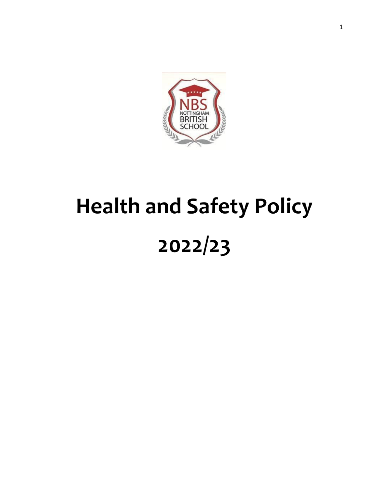

# **Health and Safety Policy 2022/23**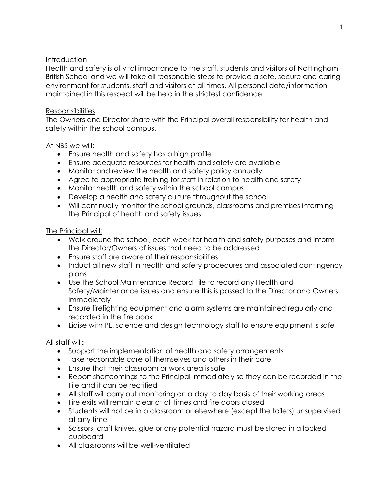## **Introduction**

Health and safety is of vital importance to the staff, students and visitors of Nottingham British School and we will take all reasonable steps to provide a safe, secure and caring environment for students, staff and visitors at all times. All personal data/information maintained in this respect will be held in the strictest confidence.

## Responsibilities

The Owners and Director share with the Principal overall responsibility for health and safety within the school campus.

At NBS we will:

- Ensure health and safety has a high profile
- Ensure adequate resources for health and safety are available
- Monitor and review the health and safety policy annually
- Agree to appropriate training for staff in relation to health and safety
- Monitor health and safety within the school campus
- Develop a health and safety culture throughout the school
- Will continually monitor the school grounds, classrooms and premises informing the Principal of health and safety issues

## The Principal will:

- Walk around the school, each week for health and safety purposes and inform the Director/Owners of issues that need to be addressed
- Ensure staff are aware of their responsibilities
- Induct all new staff in health and safety procedures and associated contingency plans
- Use the School Maintenance Record File to record any Health and Safety/Maintenance issues and ensure this is passed to the Director and Owners immediately
- Ensure firefighting equipment and alarm systems are maintained regularly and recorded in the fire book
- Liaise with PE, science and design technology staff to ensure equipment is safe

## All staff will:

- Support the implementation of health and safety arrangements
- Take reasonable care of themselves and others in their care
- Ensure that their classroom or work area is safe
- Report shortcomings to the Principal immediately so they can be recorded in the File and it can be rectified
- All staff will carry out monitoring on a day to day basis of their working areas
- Fire exits will remain clear at all times and fire doors closed
- Students will not be in a classroom or elsewhere (except the toilets) unsupervised at any time
- Scissors, craft knives, glue or any potential hazard must be stored in a locked cupboard
- All classrooms will be well-ventilated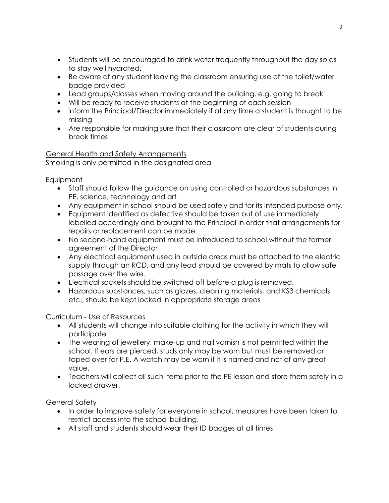- Students will be encouraged to drink water frequently throughout the day so as to stay well hydrated.
- Be aware of any student leaving the classroom ensuring use of the toilet/water badge provided
- Lead groups/classes when moving around the building, e.g. going to break
- Will be ready to receive students at the beginning of each session
- inform the Principal/Director immediately if at any time a student is thought to be missing
- Are responsible for making sure that their classroom are clear of students during break times

## General Health and Safety Arrangements Smoking is only permitted in the designated area

# **Equipment**

- Staff should follow the guidance on using controlled or hazardous substances in PE, science, technology and art
- Any equipment in school should be used safely and for its intended purpose only.
- Equipment identified as defective should be taken out of use immediately labelled accordingly and brought to the Principal in order that arrangements for repairs or replacement can be made
- No second-hand equipment must be introduced to school without the former agreement of the Director
- Any electrical equipment used in outside areas must be attached to the electric supply through an RCD, and any lead should be covered by mats to allow safe passage over the wire.
- Electrical sockets should be switched off before a plug is removed.
- Hazardous substances, such as glazes, cleaning materials, and KS3 chemicals etc., should be kept locked in appropriate storage areas

# Curriculum - Use of Resources

- All students will change into suitable clothing for the activity in which they will participate
- The wearing of jewellery, make-up and nail varnish is not permitted within the school. If ears are pierced, studs only may be worn but must be removed or taped over for P.E. A watch may be worn if it is named and not of any great value.
- Teachers will collect all such items prior to the PE lesson and store them safely in a locked drawer.

# General Safety

- In order to improve safety for everyone in school, measures have been taken to restrict access into the school building.
- All staff and students should wear their ID badges at all times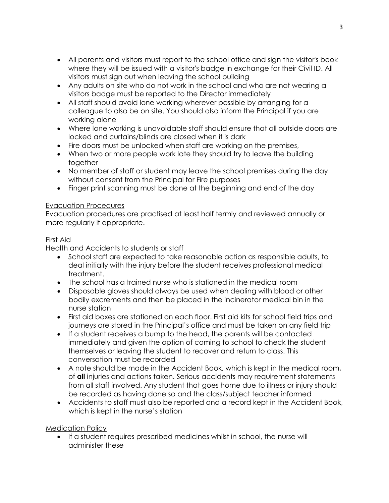- All parents and visitors must report to the school office and sign the visitor's book where they will be issued with a visitor's badge in exchange for their Civil ID. All visitors must sign out when leaving the school building
- Any adults on site who do not work in the school and who are not wearing a visitors badge must be reported to the Director immediately
- All staff should avoid lone working wherever possible by arranging for a colleague to also be on site. You should also inform the Principal if you are working alone
- Where lone working is unavoidable staff should ensure that all outside doors are locked and curtains/blinds are closed when it is dark
- Fire doors must be unlocked when staff are working on the premises,
- When two or more people work late they should try to leave the building together
- No member of staff or student may leave the school premises during the day without consent from the Principal for Fire purposes
- Finger print scanning must be done at the beginning and end of the day

## Evacuation Procedures

Evacuation procedures are practised at least half termly and reviewed annually or more regularly if appropriate.

## First Aid

Health and Accidents to students or staff

- School staff are expected to take reasonable action as responsible adults, to deal initially with the injury before the student receives professional medical treatment.
- The school has a trained nurse who is stationed in the medical room
- Disposable gloves should always be used when dealing with blood or other bodily excrements and then be placed in the incinerator medical bin in the nurse station
- First aid boxes are stationed on each floor. First aid kits for school field trips and journeys are stored in the Principal's office and must be taken on any field trip
- If a student receives a bump to the head, the parents will be contacted immediately and given the option of coming to school to check the student themselves or leaving the student to recover and return to class. This conversation must be recorded
- A note should be made in the Accident Book, which is kept in the medical room, of **all** injuries and actions taken. Serious accidents may requirement statements from all staff involved. Any student that goes home due to illness or injury should be recorded as having done so and the class/subject teacher informed
- Accidents to staff must also be reported and a record kept in the Accident Book, which is kept in the nurse's station

Medication Policy

 If a student requires prescribed medicines whilst in school, the nurse will administer these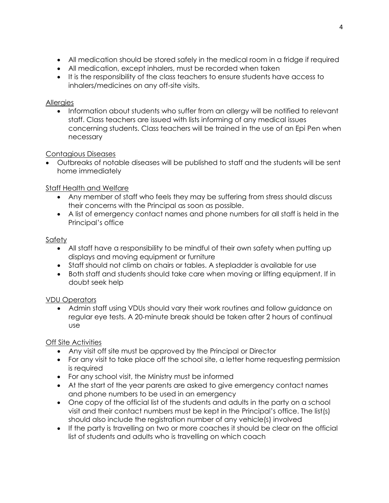- All medication should be stored safely in the medical room in a fridge if required
- All medication, except inhalers, must be recorded when taken
- It is the responsibility of the class teachers to ensure students have access to inhalers/medicines on any off-site visits.

# Allergies

• Information about students who suffer from an allergy will be notified to relevant staff. Class teachers are issued with lists informing of any medical issues concerning students. Class teachers will be trained in the use of an Epi Pen when necessary

# Contagious Diseases

 Outbreaks of notable diseases will be published to staff and the students will be sent home immediately

# Staff Health and Welfare

- Any member of staff who feels they may be suffering from stress should discuss their concerns with the Principal as soon as possible.
- A list of emergency contact names and phone numbers for all staff is held in the Principal's office

# Safety

- All staff have a responsibility to be mindful of their own safety when putting up displays and moving equipment or furniture
- Staff should not climb on chairs or tables. A stepladder is available for use
- Both staff and students should take care when moving or lifting equipment. If in doubt seek help

# VDU Operators

 Admin staff using VDUs should vary their work routines and follow guidance on regular eye tests. A 20-minute break should be taken after 2 hours of continual use

# Off Site Activities

- Any visit off site must be approved by the Principal or Director
- For any visit to take place off the school site, a letter home requesting permission is required
- For any school visit, the Ministry must be informed
- At the start of the year parents are asked to give emergency contact names and phone numbers to be used in an emergency
- One copy of the official list of the students and adults in the party on a school visit and their contact numbers must be kept in the Principal's office. The list(s) should also include the registration number of any vehicle(s) involved
- If the party is travelling on two or more coaches it should be clear on the official list of students and adults who is travelling on which coach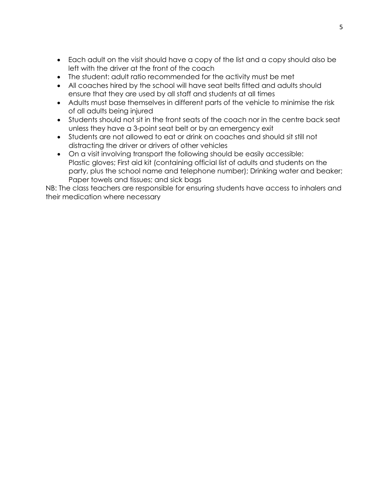- Each adult on the visit should have a copy of the list and a copy should also be left with the driver at the front of the coach
- The student: adult ratio recommended for the activity must be met
- All coaches hired by the school will have seat belts fitted and adults should ensure that they are used by all staff and students at all times
- Adults must base themselves in different parts of the vehicle to minimise the risk of all adults being injured
- Students should not sit in the front seats of the coach nor in the centre back seat unless they have a 3-point seat belt or by an emergency exit
- Students are not allowed to eat or drink on coaches and should sit still not distracting the driver or drivers of other vehicles
- On a visit involving transport the following should be easily accessible: Plastic gloves; First aid kit (containing official list of adults and students on the party, plus the school name and telephone number); Drinking water and beaker; Paper towels and tissues; and sick bags

NB: The class teachers are responsible for ensuring students have access to inhalers and their medication where necessary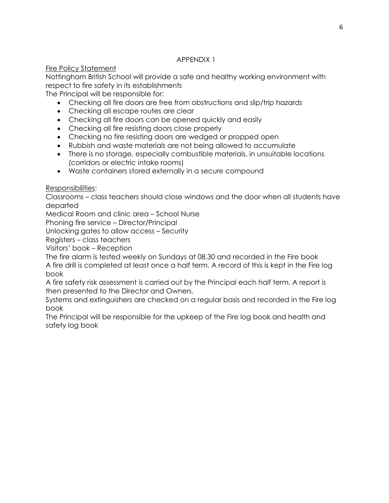## Fire Policy Statement

Nottingham British School will provide a safe and healthy working environment with respect to fire safety in its establishments

The Principal will be responsible for:

- Checking all fire doors are free from obstructions and slip/trip hazards
- Checking all escape routes are clear
- Checking all fire doors can be opened quickly and easily
- Checking all fire resisting doors close properly
- Checking no fire resisting doors are wedged or propped open
- Rubbish and waste materials are not being allowed to accumulate
- There is no storage, especially combustible materials, in unsuitable locations (corridors or electric intake rooms)
- Waste containers stored externally in a secure compound

Responsibilities:

Classrooms – class teachers should close windows and the door when all students have departed

Medical Room and clinic area – School Nurse

Phoning fire service – Director/Principal

Unlocking gates to allow access – Security

Registers – class teachers

Visitors' book – Reception

The fire alarm is tested weekly on Sundays at 08.30 and recorded in the Fire book A fire drill is completed at least once a half term. A record of this is kept in the Fire log book

A fire safety risk assessment is carried out by the Principal each half term. A report is then presented to the Director and Owners.

Systems and extinguishers are checked on a regular basis and recorded in the Fire log book

The Principal will be responsible for the upkeep of the Fire log book and health and safety log book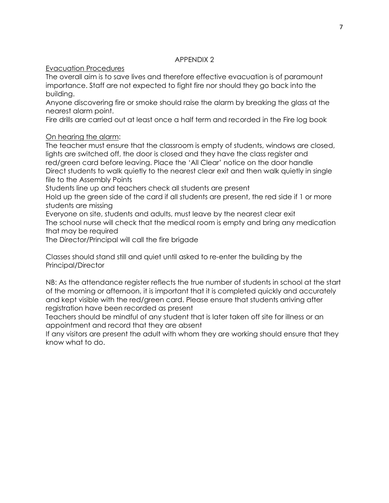## Evacuation Procedures

The overall aim is to save lives and therefore effective evacuation is of paramount importance. Staff are not expected to fight fire nor should they go back into the building.

Anyone discovering fire or smoke should raise the alarm by breaking the glass at the nearest alarm point.

Fire drills are carried out at least once a half term and recorded in the Fire log book

# On hearing the alarm:

The teacher must ensure that the classroom is empty of students, windows are closed, lights are switched off, the door is closed and they have the class register and red/green card before leaving. Place the 'All Clear' notice on the door handle Direct students to walk quietly to the nearest clear exit and then walk quietly in single file to the Assembly Points

Students line up and teachers check all students are present

Hold up the green side of the card if all students are present, the red side if 1 or more students are missing

Everyone on site, students and adults, must leave by the nearest clear exit The school nurse will check that the medical room is empty and bring any medication that may be required

The Director/Principal will call the fire brigade

Classes should stand still and quiet until asked to re-enter the building by the Principal/Director

NB: As the attendance register reflects the true number of students in school at the start of the morning or afternoon, it is important that it is completed quickly and accurately and kept visible with the red/green card. Please ensure that students arriving after registration have been recorded as present

Teachers should be mindful of any student that is later taken off site for illness or an appointment and record that they are absent

If any visitors are present the adult with whom they are working should ensure that they know what to do.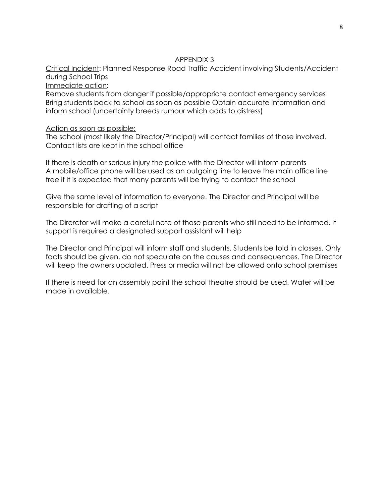Critical Incident: Planned Response Road Traffic Accident involving Students/Accident during School Trips

Immediate action:

Remove students from danger if possible/appropriate contact emergency services Bring students back to school as soon as possible Obtain accurate information and inform school (uncertainty breeds rumour which adds to distress)

#### Action as soon as possible:

The school (most likely the Director/Principal) will contact families of those involved. Contact lists are kept in the school office

If there is death or serious injury the police with the Director will inform parents A mobile/office phone will be used as an outgoing line to leave the main office line free if it is expected that many parents will be trying to contact the school

Give the same level of information to everyone. The Director and Principal will be responsible for drafting of a script

The Direrctor will make a careful note of those parents who still need to be informed. If support is required a designated support assistant will help

The Director and Principal will inform staff and students. Students be told in classes. Only facts should be given, do not speculate on the causes and consequences. The Director will keep the owners updated. Press or media will not be allowed onto school premises

If there is need for an assembly point the school theatre should be used. Water will be made in available.